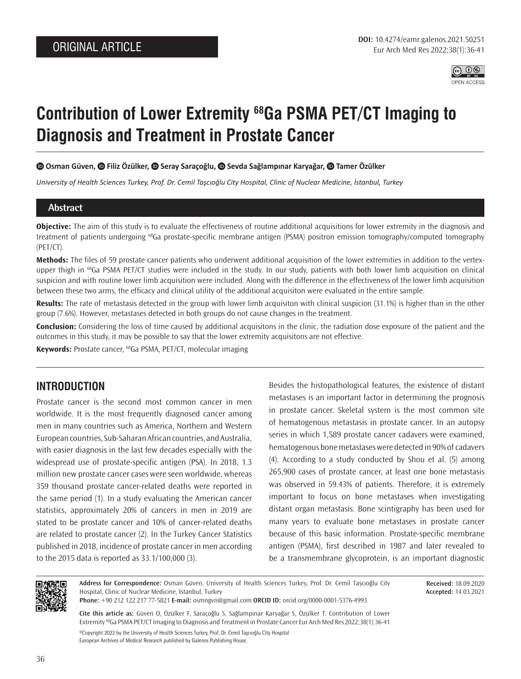

# **Contribution of Lower Extremity 68Ga PSMA PET/CT Imaging to Diagnosis and Treatment in Prostate Cancer**

 $\bullet$ **Osman Güven,**  $\bullet$  **Filiz Özülker,**  $\bullet$  **Seray Saraçoğlu,**  $\bullet$  **Sevda Sağlampınar Karyağar,**  $\bullet$  **Tamer Özülker** 

*University of Health Sciences Turkey, Prof. Dr. Cemil Taşcıoğlu City Hospital, Clinic of Nuclear Medicine, İstanbul, Turkey*

## **Abstract**

**Objective:** The aim of this study is to evaluate the effectiveness of routine additional acquisitions for lower extremity in the diagnosis and treatment of patients undergoing 68Ga prostate-specific membrane antigen (PSMA) positron emission tomography/computed tomography (PET/CT).

**Methods:** The files of 59 prostate cancer patients who underwent additional acquisition of the lower extremities in addition to the vertexupper thigh in <sup>68</sup>Ga PSMA PET/CT studies were included in the study. In our study, patients with both lower limb acquisition on clinical suspicion and with routine lower limb acquisition were included. Along with the difference in the effectiveness of the lower limb acquisition between these two arms, the efficacy and clinical utility of the additional acquisiton were evaluated in the entire sample.

**Results:** The rate of metastasis detected in the group with lower limb acquisiton with clinical suspicion (31.1%) is higher than in the other group (7.6%). However, metastases detected in both groups do not cause changes in the treatment.

**Conclusion:** Considering the loss of time caused by additional acquisitons in the clinic, the radiation dose exposure of the patient and the outcomes in this study, it may be possible to say that the lower extremity acquisitons are not effective.

**Keywords:** Prostate cancer, 68Ga PSMA, PET/CT, molecular imaging

# **INTRODUCTION**

Prostate cancer is the second most common cancer in men worldwide. It is the most frequently diagnosed cancer among men in many countries such as America, Northern and Western European countries, Sub-Saharan African countries, and Australia, with easier diagnosis in the last few decades especially with the widespread use of prostate-specific antigen (PSA). In 2018, 1.3 million new prostate cancer cases were seen worldwide, whereas 359 thousand prostate cancer-related deaths were reported in the same period (1). In a study evaluating the American cancer statistics, approximately 20% of cancers in men in 2019 are stated to be prostate cancer and 10% of cancer-related deaths are related to prostate cancer (2). In the Turkey Cancer Statistics published in 2018, incidence of prostate cancer in men according to the 2015 data is reported as 33.1/100,000 (3).

Besides the histopathological features, the existence of distant metastases is an important factor in determining the prognosis in prostate cancer. Skeletal system is the most common site of hematogenous metastasis in prostate cancer. In an autopsy series in which 1,589 prostate cancer cadavers were examined, hematogenous bone metastases were detected in 90% of cadavers (4). According to a study conducted by Shou et al. (5) among 265,900 cases of prostate cancer, at least one bone metastasis was observed in 59.43% of patients. Therefore, it is extremely important to focus on bone metastases when investigating distant organ metastasis. Bone scintigraphy has been used for many years to evaluate bone metastases in prostate cancer because of this basic information. Prostate-specific membrane antigen (PSMA), first described in 1987 and later revealed to be a transmembrane glycoprotein, is an important diagnostic

> **Received:** 18.09.2020 **Accepted:** 14.03.2021



**Address for Correspondence:** Osman Güven, University of Health Sciences Turkey, Prof. Dr. Cemil Taşcıoğlu City Hospital, Clinic of Nuclear Medicine, İstanbul, Turkey

**Phone:** +90 212 122 217 77-5821 **E-mail:** osmngvn@gmail.com **ORCID ID:** orcid.org/0000-0001-5376-4993

©Copyright 2022 by the University of Health Sciences Turkey, Prof. Dr. Cemil Taşcıoğlu City Hospital European Archives of Medical Research published by Galenos Publishing House. **Cite this article as:** Güven O, Özülker F, Saraçoğlu S, Sağlampınar Karyağar S, Özülker T. Contribution of Lower Extremity 68Ga PSMA PET/CT Imaging to Diagnosis and Treatment in Prostate Cancer Eur Arch Med Res 2022;38(1):36-41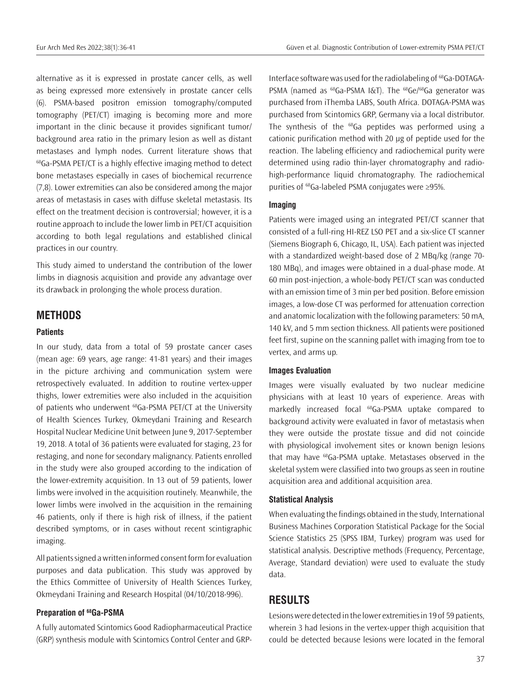alternative as it is expressed in prostate cancer cells, as well as being expressed more extensively in prostate cancer cells (6). PSMA-based positron emission tomography/computed tomography (PET/CT) imaging is becoming more and more important in the clinic because it provides significant tumor/ background area ratio in the primary lesion as well as distant metastases and lymph nodes. Current literature shows that <sup>68</sup>Ga-PSMA PET/CT is a highly effective imaging method to detect bone metastases especially in cases of biochemical recurrence (7,8). Lower extremities can also be considered among the major areas of metastasis in cases with diffuse skeletal metastasis. Its effect on the treatment decision is controversial; however, it is a routine approach to include the lower limb in PET/CT acquisition according to both legal regulations and established clinical practices in our country.

This study aimed to understand the contribution of the lower limbs in diagnosis acquisition and provide any advantage over its drawback in prolonging the whole process duration.

## **METHODS**

#### **Patients**

In our study, data from a total of 59 prostate cancer cases (mean age: 69 years, age range: 41-81 years) and their images in the picture archiving and communication system were retrospectively evaluated. In addition to routine vertex-upper thighs, lower extremities were also included in the acquisition of patients who underwent  $^{68}$ Ga-PSMA PET/CT at the University of Health Sciences Turkey, Okmeydani Training and Research Hospital Nuclear Medicine Unit between June 9, 2017-September 19, 2018. A total of 36 patients were evaluated for staging, 23 for restaging, and none for secondary malignancy. Patients enrolled in the study were also grouped according to the indication of the lower-extremity acquisition. In 13 out of 59 patients, lower limbs were involved in the acquisition routinely. Meanwhile, the lower limbs were involved in the acquisition in the remaining 46 patients, only if there is high risk of illness, if the patient described symptoms, or in cases without recent scintigraphic imaging.

All patients signed a written informed consent form for evaluation purposes and data publication. This study was approved by the Ethics Committee of University of Health Sciences Turkey, Okmeydani Training and Research Hospital (04/10/2018-996).

#### **Preparation of 68Ga-PSMA**

A fully automated Scintomics Good Radiopharmaceutical Practice (GRP) synthesis module with Scintomics Control Center and GRP- Interface software was used for the radiolabeling of <sup>68</sup>Ga-DOTAGA-PSMA (named as <sup>68</sup>Ga-PSMA I&T). The <sup>68</sup>Ge/<sup>68</sup>Ga generator was purchased from iThemba LABS, South Africa. DOTAGA-PSMA was purchased from Scintomics GRP, Germany via a local distributor. The synthesis of the  $^{68}$ Ga peptides was performed using a cationic purification method with 20 μg of peptide used for the reaction. The labeling efficiency and radiochemical purity were determined using radio thin-layer chromatography and radiohigh-performance liquid chromatography. The radiochemical purities of 68Ga-labeled PSMA conjugates were ≥95%.

#### **Imaging**

Patients were imaged using an integrated PET/CT scanner that consisted of a full-ring HI-REZ LSO PET and a six-slice CT scanner (Siemens Biograph 6, Chicago, IL, USA). Each patient was injected with a standardized weight-based dose of 2 MBq/kg (range 70- 180 MBq), and images were obtained in a dual-phase mode. At 60 min post-injection, a whole-body PET/CT scan was conducted with an emission time of 3 min per bed position. Before emission images, a low-dose CT was performed for attenuation correction and anatomic localization with the following parameters: 50 mA, 140 kV, and 5 mm section thickness. All patients were positioned feet first, supine on the scanning pallet with imaging from toe to vertex, and arms up.

#### **Images Evaluation**

Images were visually evaluated by two nuclear medicine physicians with at least 10 years of experience. Areas with markedly increased focal 68Ga-PSMA uptake compared to background activity were evaluated in favor of metastasis when they were outside the prostate tissue and did not coincide with physiological involvement sites or known benign lesions that may have 68Ga-PSMA uptake. Metastases observed in the skeletal system were classified into two groups as seen in routine acquisition area and additional acquisition area.

#### **Statistical Analysis**

When evaluating the findings obtained in the study, International Business Machines Corporation Statistical Package for the Social Science Statistics 25 (SPSS IBM, Turkey) program was used for statistical analysis. Descriptive methods (Frequency, Percentage, Average, Standard deviation) were used to evaluate the study data.

## **RESULTS**

Lesions were detected in the lower extremities in 19 of 59 patients, wherein 3 had lesions in the vertex-upper thigh acquisition that could be detected because lesions were located in the femoral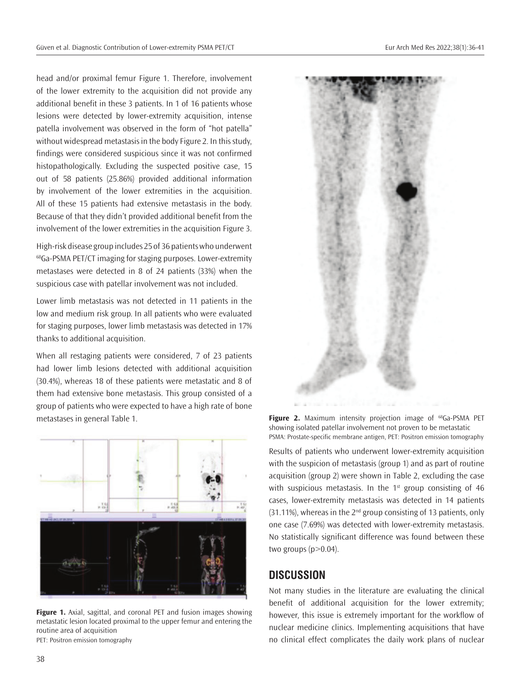head and/or proximal femur Figure 1. Therefore, involvement of the lower extremity to the acquisition did not provide any additional benefit in these 3 patients. In 1 of 16 patients whose lesions were detected by lower-extremity acquisition, intense patella involvement was observed in the form of "hot patella" without widespread metastasis in the body Figure 2. In this study, findings were considered suspicious since it was not confirmed histopathologically. Excluding the suspected positive case, 15 out of 58 patients (25.86%) provided additional information by involvement of the lower extremities in the acquisition. All of these 15 patients had extensive metastasis in the body. Because of that they didn't provided additional benefit from the involvement of the lower extremities in the acquisition Figure 3.

High-risk disease group includes 25 of 36 patients who underwent <sup>68</sup>Ga-PSMA PET/CT imaging for staging purposes. Lower-extremity metastases were detected in 8 of 24 patients (33%) when the suspicious case with patellar involvement was not included.

Lower limb metastasis was not detected in 11 patients in the low and medium risk group. In all patients who were evaluated for staging purposes, lower limb metastasis was detected in 17% thanks to additional acquisition.

When all restaging patients were considered, 7 of 23 patients had lower limb lesions detected with additional acquisition (30.4%), whereas 18 of these patients were metastatic and 8 of them had extensive bone metastasis. This group consisted of a group of patients who were expected to have a high rate of bone metastases in general Table 1.



**Figure 1.** Axial, sagittal, and coronal PET and fusion images showing metastatic lesion located proximal to the upper femur and entering the routine area of acquisition PET: Positron emission tomography



Figure 2. Maximum intensity projection image of <sup>68</sup>Ga-PSMA PET showing isolated patellar involvement not proven to be metastatic PSMA: Prostate-specific membrane antigen, PET: Positron emission tomography

Results of patients who underwent lower-extremity acquisition with the suspicion of metastasis (group 1) and as part of routine acquisition (group 2) were shown in Table 2, excluding the case with suspicious metastasis. In the  $1<sup>st</sup>$  group consisting of 46 cases, lower-extremity metastasis was detected in 14 patients  $(31.11%)$ , whereas in the  $2<sup>nd</sup>$  group consisting of 13 patients, only one case (7.69%) was detected with lower-extremity metastasis. No statistically significant difference was found between these two groups  $(p>0.04)$ .

# **DISCUSSION**

Not many studies in the literature are evaluating the clinical benefit of additional acquisition for the lower extremity; however, this issue is extremely important for the workflow of nuclear medicine clinics. Implementing acquisitions that have no clinical effect complicates the daily work plans of nuclear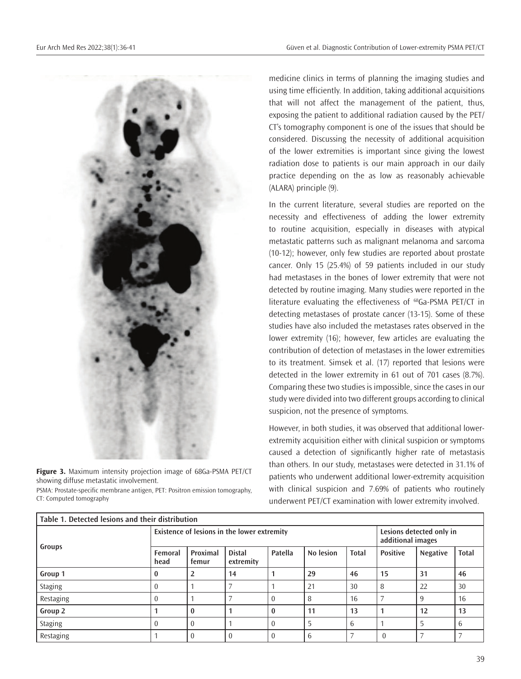

**Figure 3.** Maximum intensity projection image of 68Ga-PSMA PET/CT showing diffuse metastatic involvement.

PSMA: Prostate-specific membrane antigen, PET: Positron emission tomography, CT: Computed tomography

medicine clinics in terms of planning the imaging studies and using time efficiently. In addition, taking additional acquisitions that will not affect the management of the patient, thus, exposing the patient to additional radiation caused by the PET/ CT's tomography component is one of the issues that should be considered. Discussing the necessity of additional acquisition of the lower extremities is important since giving the lowest radiation dose to patients is our main approach in our daily practice depending on the as low as reasonably achievable (ALARA) principle (9).

In the current literature, several studies are reported on the necessity and effectiveness of adding the lower extremity to routine acquisition, especially in diseases with atypical metastatic patterns such as malignant melanoma and sarcoma (10-12); however, only few studies are reported about prostate cancer. Only 15 (25.4%) of 59 patients included in our study had metastases in the bones of lower extremity that were not detected by routine imaging. Many studies were reported in the literature evaluating the effectiveness of <sup>68</sup>Ga-PSMA PET/CT in detecting metastases of prostate cancer (13-15). Some of these studies have also included the metastases rates observed in the lower extremity (16); however, few articles are evaluating the contribution of detection of metastases in the lower extremities to its treatment. Simsek et al. (17) reported that lesions were detected in the lower extremity in 61 out of 701 cases (8.7%). Comparing these two studies is impossible, since the cases in our study were divided into two different groups according to clinical suspicion, not the presence of symptoms.

However, in both studies, it was observed that additional lowerextremity acquisition either with clinical suspicion or symptoms caused a detection of significantly higher rate of metastasis than others. In our study, metastases were detected in 31.1% of patients who underwent additional lower-extremity acquisition with clinical suspicion and 7.69% of patients who routinely underwent PET/CT examination with lower extremity involved.

| Table 1. Detected lesions and their distribution |                                             |                   |                            |          |           |              |                                               |                 |              |
|--------------------------------------------------|---------------------------------------------|-------------------|----------------------------|----------|-----------|--------------|-----------------------------------------------|-----------------|--------------|
| Groups                                           | Existence of lesions in the lower extremity |                   |                            |          |           |              | Lesions detected only in<br>additional images |                 |              |
|                                                  | Femoral<br>head                             | Proximal<br>femur | <b>Distal</b><br>extremity | Patella  | No lesion | <b>Total</b> | <b>Positive</b>                               | <b>Negative</b> | <b>Total</b> |
| Group 1                                          | 0                                           |                   | 14                         |          | 29        | 46           | 15                                            | 31              | 46           |
| Staging                                          |                                             |                   |                            |          | 21        | 30           | 8                                             | 22              | 30           |
| Restaging                                        |                                             |                   |                            | $\Omega$ | 8         | 16           |                                               | 9               | 16           |
| Group 2                                          |                                             | 0                 |                            | $\bf{0}$ | 11        | 13           |                                               | 12              | 13           |
| Staging                                          |                                             |                   |                            |          | 5         | 6            |                                               | 5               | 6            |
| Restaging                                        |                                             |                   | $\overline{0}$             | $\left($ | 6         |              | $\theta$                                      |                 |              |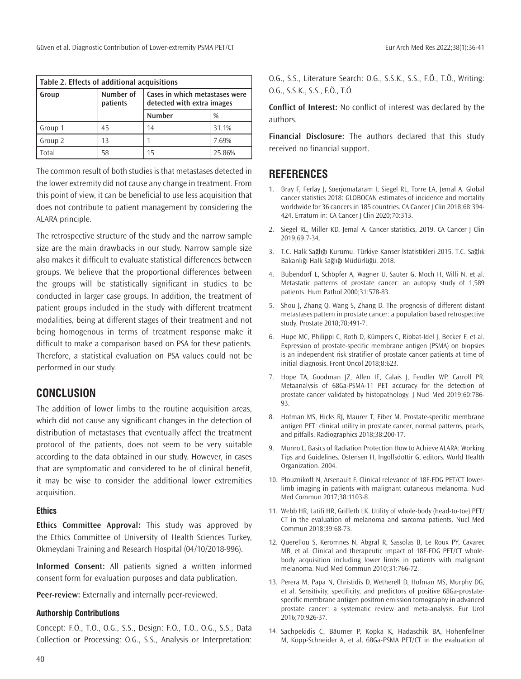| Table 2. Effects of additional acquisitions |                       |                                                              |        |  |  |  |  |  |
|---------------------------------------------|-----------------------|--------------------------------------------------------------|--------|--|--|--|--|--|
| Group                                       | Number of<br>patients | Cases in which metastases were<br>detected with extra images |        |  |  |  |  |  |
|                                             |                       | <b>Number</b>                                                | $\%$   |  |  |  |  |  |
| Group 1                                     | 45                    | 14                                                           | 31.1%  |  |  |  |  |  |
| Group 2                                     | 13                    |                                                              | 7.69%  |  |  |  |  |  |
| Total                                       | 58                    | 15                                                           | 25.86% |  |  |  |  |  |

The common result of both studies is that metastases detected in the lower extremity did not cause any change in treatment. From this point of view, it can be beneficial to use less acquisition that does not contribute to patient management by considering the ALARA principle.

The retrospective structure of the study and the narrow sample size are the main drawbacks in our study. Narrow sample size also makes it difficult to evaluate statistical differences between groups. We believe that the proportional differences between the groups will be statistically significant in studies to be conducted in larger case groups. In addition, the treatment of patient groups included in the study with different treatment modalities, being at different stages of their treatment and not being homogenous in terms of treatment response make it difficult to make a comparison based on PSA for these patients. Therefore, a statistical evaluation on PSA values could not be performed in our study.

# **CONCLUSION**

The addition of lower limbs to the routine acquisition areas, which did not cause any significant changes in the detection of distribution of metastases that eventually affect the treatment protocol of the patients, does not seem to be very suitable according to the data obtained in our study. However, in cases that are symptomatic and considered to be of clinical benefit, it may be wise to consider the additional lower extremities acquisition.

## **Ethics**

**Ethics Committee Approval:** This study was approved by the Ethics Committee of University of Health Sciences Turkey, Okmeydani Training and Research Hospital (04/10/2018-996).

**Informed Consent:** All patients signed a written informed consent form for evaluation purposes and data publication.

**Peer-review:** Externally and internally peer-reviewed.

#### **Authorship Contributions**

Concept: F.Ö., T.Ö., O.G., S.S., Design: F.Ö., T.Ö., O.G., S.S., Data Collection or Processing: O.G., S.S., Analysis or Interpretation: O.G., S.S., Literature Search: O.G., S.S.K., S.S., F.Ö., T.Ö., Writing: O.G., S.S.K., S.S., F.Ö., T.Ö.

**Conflict of Interest:** No conflict of interest was declared by the authors.

**Financial Disclosure:** The authors declared that this study received no financial support.

# **REFERENCES**

- 1. Bray F, Ferlay J, Soerjomataram I, Siegel RL, Torre LA, Jemal A. Global cancer statistics 2018: GLOBOCAN estimates of incidence and mortality worldwide for 36 cancers in 185 countries. CA Cancer J Clin 2018;68:394- 424. Erratum in: CA Cancer J Clin 2020;70:313.
- 2. Siegel RL, Miller KD, Jemal A. Cancer statistics, 2019. CA Cancer J Clin 2019;69:7-34.
- 3. T.C. Halk Sağlığı Kurumu. Türkiye Kanser İstatistikleri 2015. T.C. Sağlık Bakanlığı Halk Sağlığı Müdürlüğü. 2018.
- 4. Bubendorf L, Schöpfer A, Wagner U, Sauter G, Moch H, Willi N, et al. Metastatic patterns of prostate cancer: an autopsy study of 1,589 patients. Hum Pathol 2000;31:578-83.
- 5. Shou J, Zhang Q, Wang S, Zhang D. The prognosis of different distant metastases pattern in prostate cancer: a population based retrospective study. Prostate 2018;78:491-7.
- 6. Hupe MC, Philippi C, Roth D, Kümpers C, Ribbat-Idel J, Becker F, et al. Expression of prostate-specific membrane antigen (PSMA) on biopsies is an independent risk stratifier of prostate cancer patients at time of initial diagnosis. Front Oncol 2018;8:623.
- 7. Hope TA, Goodman JZ, Allen IE, Calais J, Fendler WP, Carroll PR. Metaanalysis of 68Ga-PSMA-11 PET accuracy for the detection of prostate cancer validated by histopathology. J Nucl Med 2019;60:786- 93.
- 8. Hofman MS, Hicks RJ, Maurer T, Eiber M. Prostate-specific membrane antigen PET: clinical utility in prostate cancer, normal patterns, pearls, and pitfalls. Radiographics 2018;38:200-17.
- 9. Munro L. Basics of Radiation Protection How to Achieve ALARA: Working Tips and Guidelines. Ostensen H, Ingolfsdottir G, editors. World Health Organization. 2004.
- 10. Plouznikoff N, Arsenault F. Clinical relevance of 18F-FDG PET/CT lowerlimb imaging in patients with malignant cutaneous melanoma. Nucl Med Commun 2017;38:1103-8.
- 11. Webb HR, Latifi HR, Griffeth LK. Utility of whole-body (head-to-toe) PET/ CT in the evaluation of melanoma and sarcoma patients. Nucl Med Commun 2018;39:68-73.
- 12. Querellou S, Keromnes N, Abgral R, Sassolas B, Le Roux PY, Cavarec MB, et al. Clinical and therapeutic impact of 18F-FDG PET/CT wholebody acquisition including lower limbs in patients with malignant melanoma. Nucl Med Commun 2010;31:766-72.
- 13. Perera M, Papa N, Christidis D, Wetherell D, Hofman MS, Murphy DG, et al. Sensitivity, specificity, and predictors of positive 68Ga-prostatespecific membrane antigen positron emission tomography in advanced prostate cancer: a systematic review and meta-analysis. Eur Urol 2016;70:926-37.
- 14. Sachpekidis C, Bäumer P, Kopka K, Hadaschik BA, Hohenfellner M, Kopp-Schneider A, et al. 68Ga-PSMA PET/CT in the evaluation of